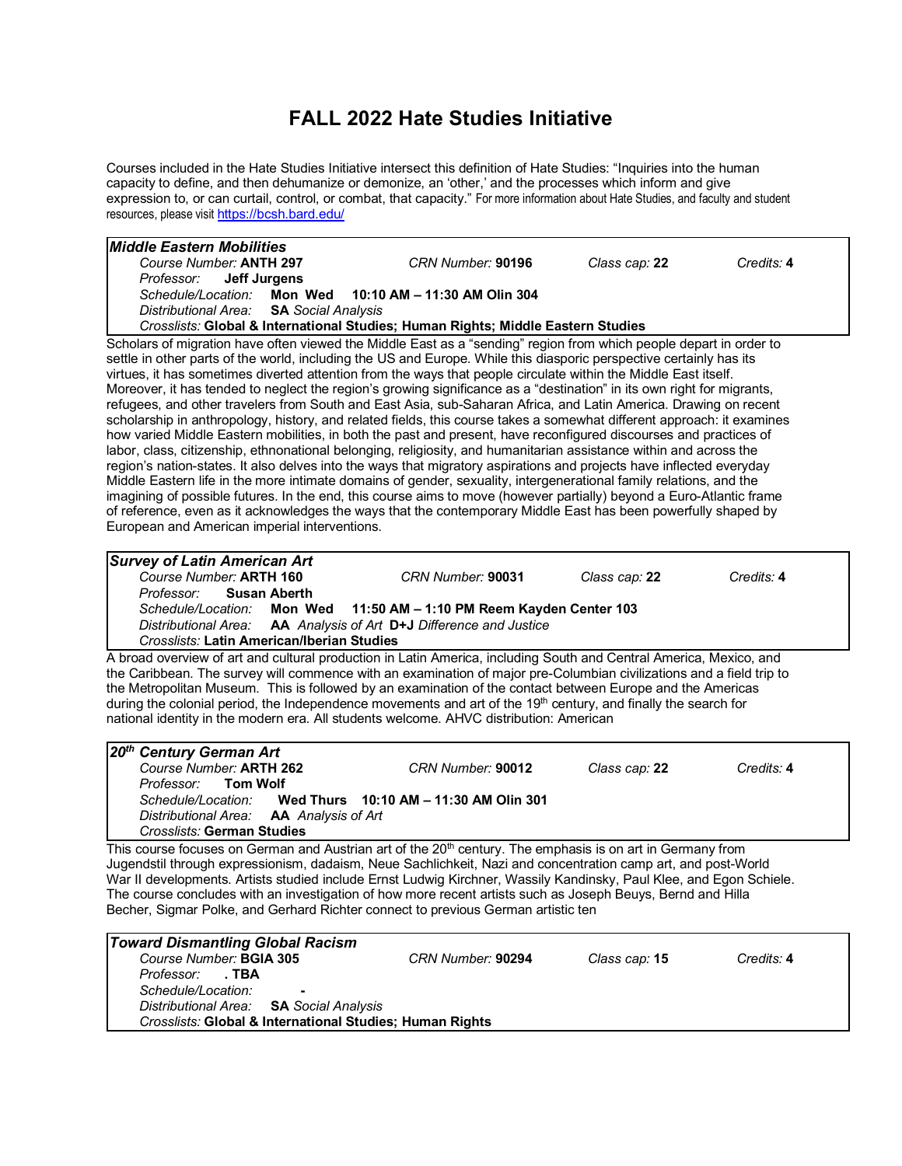## **FALL 2022 Hate Studies Initiative**

Courses included in the Hate Studies Initiative intersect this definition of Hate Studies: "Inquiries into the human capacity to define, and then dehumanize or demonize, an 'other,' and the processes which inform and give expression to, or can curtail, control, or combat, that capacity." For more information about Hate Studies, and faculty and student resources, please visit https://bcsh.bard.edu/

| <i>Middle Eastern Mobilities</i>                                                                                       |                   |               |            |
|------------------------------------------------------------------------------------------------------------------------|-------------------|---------------|------------|
| Course Number: ANTH 297                                                                                                | CRN Number: 90196 | Class cap: 22 | Credits: 4 |
| Professor: <b>Jeff Jurgens</b>                                                                                         |                   |               |            |
| Schedule/Location: Mon Wed 10:10 AM - 11:30 AM Olin 304                                                                |                   |               |            |
| Distributional Area: SA Social Analysis                                                                                |                   |               |            |
| Crosslists: Global & International Studies; Human Rights; Middle Eastern Studies                                       |                   |               |            |
| Scholars of migration have often viewed the Middle East as a "sending" region from which people depart in order to     |                   |               |            |
| settle in other parts of the world, including the US and Europe. While this diasporic perspective certainly has its    |                   |               |            |
| virtues, it has sometimes diverted attention from the ways that people circulate within the Middle East itself.        |                   |               |            |
| Moreover, it has tended to neglect the region's growing significance as a "destination" in its own right for migrants, |                   |               |            |
| refugees, and other travelers from South and East Asia, sub-Saharan Africa, and Latin America. Drawing on recent       |                   |               |            |
| scholarship in anthropology, history, and related fields, this course takes a somewhat different approach: it examines |                   |               |            |
| how varied Middle Eastern mobilities, in both the past and present, have reconfigured discourses and practices of      |                   |               |            |
| labor, class, citizenship, ethnonational belonging, religiosity, and humanitarian assistance within and across the     |                   |               |            |
| region's nation-states. It also delves into the ways that migratory aspirations and projects have inflected everyday   |                   |               |            |
| Middle Eastern life in the more intimate domains of gender, sexuality, intergenerational family relations, and the     |                   |               |            |
| imagining of possible futures. In the end, this course aims to move (however partially) beyond a Euro-Atlantic frame   |                   |               |            |
| of reference, even as it acknowledges the ways that the contemporary Middle East has been powerfully shaped by         |                   |               |            |
| European and American imperial interventions.                                                                          |                   |               |            |
|                                                                                                                        |                   |               |            |

| <b>Survey of Latin American Art</b>                                                                                |                                                                      |                      |            |
|--------------------------------------------------------------------------------------------------------------------|----------------------------------------------------------------------|----------------------|------------|
| Course Number: ARTH 160                                                                                            | CRN Number: 90031                                                    | Class cap: <b>22</b> | Credits: 4 |
| Professor: Susan Aberth                                                                                            |                                                                      |                      |            |
|                                                                                                                    | Schedule/Location: Mon Wed 11:50 AM - 1:10 PM Reem Kayden Center 103 |                      |            |
|                                                                                                                    | Distributional Area: AA Analysis of Art D+J Difference and Justice   |                      |            |
| <b>Crosslists: Latin American/Iberian Studies</b>                                                                  |                                                                      |                      |            |
| A broad overview of art and cultural production in Latin America, including South and Central America, Mexico, and |                                                                      |                      |            |

verview of art and cultural production in Latin America, including South and Central America, Mexic the Caribbean. The survey will commence with an examination of major pre-Columbian civilizations and a field trip to the Metropolitan Museum. This is followed by an examination of the contact between Europe and the Americas during the colonial period, the Independence movements and art of the 19<sup>th</sup> century, and finally the search for national identity in the modern era. All students welcome. AHVC distribution: American

| 20 <sup>th</sup> Century German Art            |                                        |                      |            |
|------------------------------------------------|----------------------------------------|----------------------|------------|
| Course Number: ARTH 262                        | CRN Number: 90012                      | Class cap: <b>22</b> | Credits: 4 |
| Professor: Tom Wolf                            |                                        |                      |            |
| Schedule/Location:                             | Wed Thurs 10:10 AM - 11:30 AM Olin 301 |                      |            |
| Distributional Area: <b>AA</b> Analysis of Art |                                        |                      |            |
| <b>Crosslists: German Studies</b>              |                                        |                      |            |

This course focuses on German and Austrian art of the 20<sup>th</sup> century. The emphasis is on art in Germany from Jugendstil through expressionism, dadaism, Neue Sachlichkeit, Nazi and concentration camp art, and post-World War II developments. Artists studied include Ernst Ludwig Kirchner, Wassily Kandinsky, Paul Klee, and Egon Schiele. The course concludes with an investigation of how more recent artists such as Joseph Beuys, Bernd and Hilla Becher, Sigmar Polke, and Gerhard Richter connect to previous German artistic ten

| Toward Dismantling Global Racism                         |                   |                      |            |  |
|----------------------------------------------------------|-------------------|----------------------|------------|--|
| Course Number: BGIA 305                                  | CRN Number: 90294 | Class cap: <b>15</b> | Credits: 4 |  |
| <i>Professor:</i> TBA                                    |                   |                      |            |  |
| Schedule/Location:<br>۰.                                 |                   |                      |            |  |
| Distributional Area: SA Social Analysis                  |                   |                      |            |  |
| Crosslists: Global & International Studies; Human Rights |                   |                      |            |  |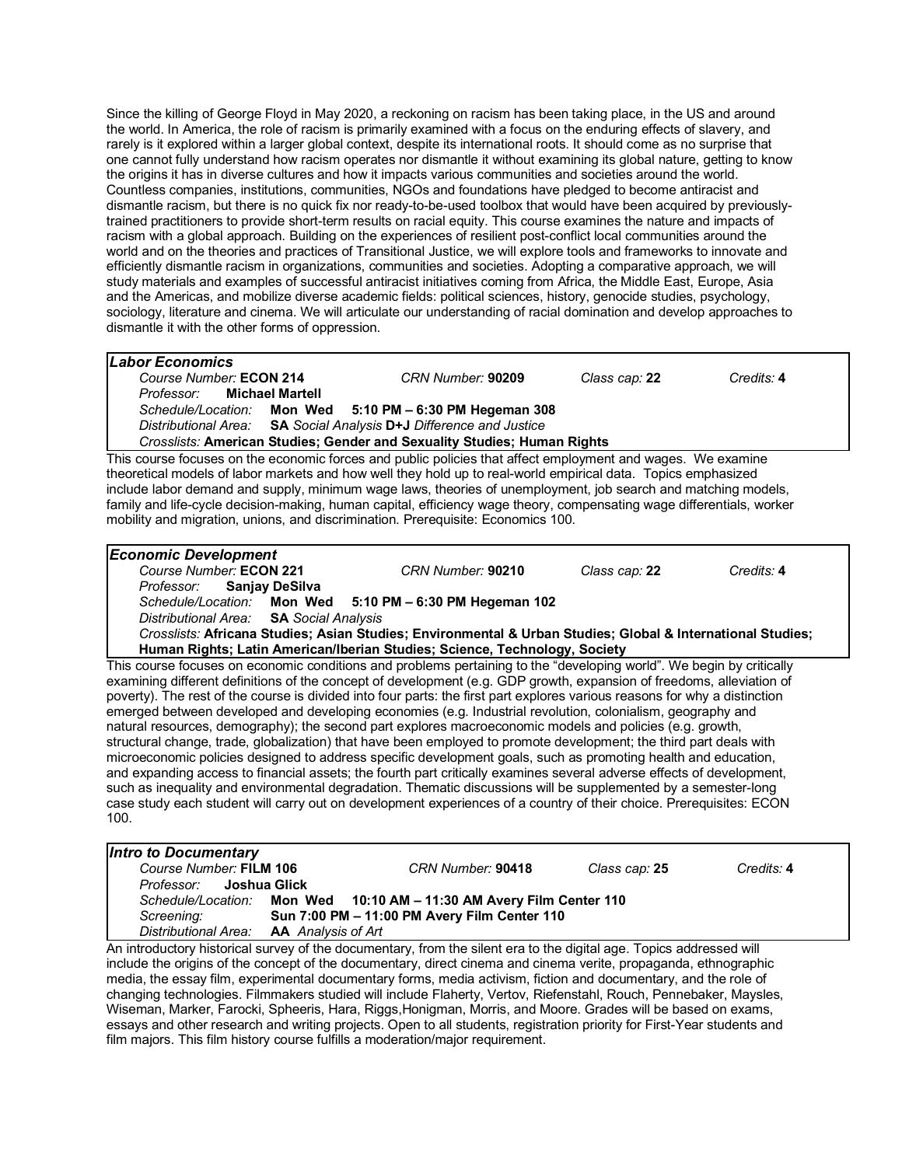Since the killing of George Floyd in May 2020, a reckoning on racism has been taking place, in the US and around the world. In America, the role of racism is primarily examined with a focus on the enduring effects of slavery, and rarely is it explored within a larger global context, despite its international roots. It should come as no surprise that one cannot fully understand how racism operates nor dismantle it without examining its global nature, getting to know the origins it has in diverse cultures and how it impacts various communities and societies around the world. Countless companies, institutions, communities, NGOs and foundations have pledged to become antiracist and dismantle racism, but there is no quick fix nor ready-to-be-used toolbox that would have been acquired by previouslytrained practitioners to provide short-term results on racial equity. This course examines the nature and impacts of racism with a global approach. Building on the experiences of resilient post-conflict local communities around the world and on the theories and practices of Transitional Justice, we will explore tools and frameworks to innovate and efficiently dismantle racism in organizations, communities and societies. Adopting a comparative approach, we will study materials and examples of successful antiracist initiatives coming from Africa, the Middle East, Europe, Asia and the Americas, and mobilize diverse academic fields: political sciences, history, genocide studies, psychology, sociology, literature and cinema. We will articulate our understanding of racial domination and develop approaches to dismantle it with the other forms of oppression.

| <b>Labor Economics</b>                                                                                                                                                                                                                              |                   |               |            |  |  |
|-----------------------------------------------------------------------------------------------------------------------------------------------------------------------------------------------------------------------------------------------------|-------------------|---------------|------------|--|--|
| Course Number: ECON 214                                                                                                                                                                                                                             | CRN Number: 90209 | Class cap: 22 | Credits: 4 |  |  |
| Michael Martell<br>Professor:                                                                                                                                                                                                                       |                   |               |            |  |  |
| Schedule/Location: Mon Wed 5:10 PM - 6:30 PM Hegeman 308                                                                                                                                                                                            |                   |               |            |  |  |
| Distributional Area: SA Social Analysis D+J Difference and Justice                                                                                                                                                                                  |                   |               |            |  |  |
| Crosslists: American Studies; Gender and Sexuality Studies; Human Rights                                                                                                                                                                            |                   |               |            |  |  |
| This course focuses on the economic forces and public policies that affect employment and wages. We examine                                                                                                                                         |                   |               |            |  |  |
| theoretical models of labor markets and how well they hold up to real-world empirical data. Topics emphasized                                                                                                                                       |                   |               |            |  |  |
| include labor demand and supply, minimum wage laws, theories of unemployment, job search and matching models,                                                                                                                                       |                   |               |            |  |  |
| family and life-cycle decision-making, human capital, efficiency wage theory, compensating wage differentials, worker                                                                                                                               |                   |               |            |  |  |
|                                                                                                                                                                                                                                                     |                   |               |            |  |  |
| mobility and migration, unions, and discrimination. Prerequisite: Economics 100.                                                                                                                                                                    |                   |               |            |  |  |
|                                                                                                                                                                                                                                                     |                   |               |            |  |  |
| <b>Economic Development</b>                                                                                                                                                                                                                         |                   |               |            |  |  |
| Course Number: ECON 221                                                                                                                                                                                                                             | CRN Number: 90210 | Class cap: 22 | Credits: 4 |  |  |
| <b>Sanjay DeSilva</b><br>Professor:                                                                                                                                                                                                                 |                   |               |            |  |  |
| Schedule/Location: Mon Wed 5:10 PM - 6:30 PM Hegeman 102                                                                                                                                                                                            |                   |               |            |  |  |
| Distributional Area: SA Social Analysis                                                                                                                                                                                                             |                   |               |            |  |  |
| Crosslists: Africana Studies; Asian Studies; Environmental & Urban Studies; Global & International Studies;                                                                                                                                         |                   |               |            |  |  |
| Human Rights; Latin American/Iberian Studies; Science, Technology, Society                                                                                                                                                                          |                   |               |            |  |  |
| This course focuses on economic conditions and problems pertaining to the "developing world". We begin by critically                                                                                                                                |                   |               |            |  |  |
|                                                                                                                                                                                                                                                     |                   |               |            |  |  |
| examining different definitions of the concept of development (e.g. GDP growth, expansion of freedoms, alleviation of<br>poverty). The rest of the course is divided into four parts: the first part explores various reasons for why a distinction |                   |               |            |  |  |
|                                                                                                                                                                                                                                                     |                   |               |            |  |  |
| emerged between developed and developing economies (e.g. Industrial revolution, colonialism, geography and                                                                                                                                          |                   |               |            |  |  |
| natural resources, demography); the second part explores macroeconomic models and policies (e.g. growth,                                                                                                                                            |                   |               |            |  |  |

structural change, trade, globalization) that have been employed to promote development; the third part deals with microeconomic policies designed to address specific development goals, such as promoting health and education, and expanding access to financial assets; the fourth part critically examines several adverse effects of development, such as inequality and environmental degradation. Thematic discussions will be supplemented by a semester-long case study each student will carry out on development experiences of a country of their choice. Prerequisites: ECON 100.

| Intro to Documentary                           |                                                                      |               |            |
|------------------------------------------------|----------------------------------------------------------------------|---------------|------------|
| Course Number: FILM 106                        | CRN Number: 90418                                                    | Class cap: 25 | Credits: 4 |
| Joshua Glick<br>Professor:                     |                                                                      |               |            |
|                                                | Schedule/Location: Mon Wed 10:10 AM - 11:30 AM Avery Film Center 110 |               |            |
| Screening:                                     | Sun 7:00 PM - 11:00 PM Avery Film Center 110                         |               |            |
| Distributional Area: <b>AA</b> Analysis of Art |                                                                      |               |            |

An introductory historical survey of the documentary, from the silent era to the digital age. Topics addressed will include the origins of the concept of the documentary, direct cinema and cinema verite, propaganda, ethnographic media, the essay film, experimental documentary forms, media activism, fiction and documentary, and the role of changing technologies. Filmmakers studied will include Flaherty, Vertov, Riefenstahl, Rouch, Pennebaker, Maysles, Wiseman, Marker, Farocki, Spheeris, Hara, Riggs,Honigman, Morris, and Moore. Grades will be based on exams, essays and other research and writing projects. Open to all students, registration priority for First-Year students and film majors. This film history course fulfills a moderation/major requirement.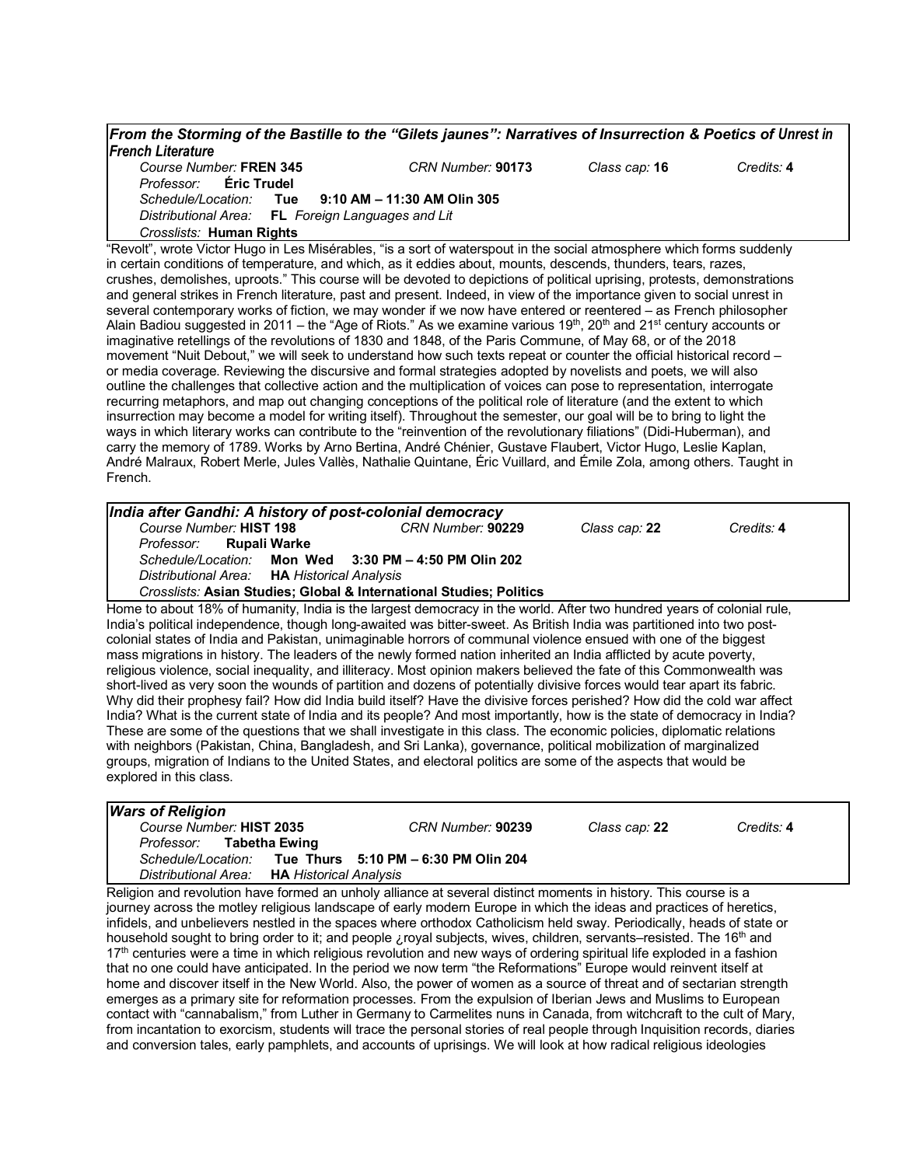*From the Storming of the Bastille to the "Gilets jaunes": Narratives of Insurrection & Poetics of Unrest in French Literature Course Number:* **FREN 345** *CRN Number:* **90173** *Class cap:* **16** *Credits:* **4**

*Professor:* **Éric Trudel** *Schedule/Location:* **Tue 9:10 AM – 11:30 AM Olin 305** *Distributional Area:* **FL** *Foreign Languages and Lit*

*Crosslists:* **Human Rights**

"Revolt", wrote Victor Hugo in Les Misérables, "is a sort of waterspout in the social atmosphere which forms suddenly in certain conditions of temperature, and which, as it eddies about, mounts, descends, thunders, tears, razes, crushes, demolishes, uproots." This course will be devoted to depictions of political uprising, protests, demonstrations and general strikes in French literature, past and present. Indeed, in view of the importance given to social unrest in several contemporary works of fiction, we may wonder if we now have entered or reentered – as French philosopher Alain Badiou suggested in 2011 – the "Age of Riots." As we examine various 19<sup>th</sup>, 20<sup>th</sup> and 21<sup>st</sup> century accounts or imaginative retellings of the revolutions of 1830 and 1848, of the Paris Commune, of May 68, or of the 2018 movement "Nuit Debout," we will seek to understand how such texts repeat or counter the official historical record – or media coverage. Reviewing the discursive and formal strategies adopted by novelists and poets, we will also outline the challenges that collective action and the multiplication of voices can pose to representation, interrogate recurring metaphors, and map out changing conceptions of the political role of literature (and the extent to which insurrection may become a model for writing itself). Throughout the semester, our goal will be to bring to light the ways in which literary works can contribute to the "reinvention of the revolutionary filiations" (Didi-Huberman), and carry the memory of 1789. Works by Arno Bertina, André Chénier, Gustave Flaubert, Victor Hugo, Leslie Kaplan, André Malraux, Robert Merle, Jules Vallès, Nathalie Quintane, Éric Vuillard, and Émile Zola, among others. Taught in French.

| India after Gandhi: A history of post-colonial democracy                                                                                                                                                                                                                                                                                                                                                                                                                                                                                                                                                                                                                                                                                                                                                                                                                                                                                                                                                                                                                                                                                                                                                                                                                                                                                                                                  |                   |               |            |
|-------------------------------------------------------------------------------------------------------------------------------------------------------------------------------------------------------------------------------------------------------------------------------------------------------------------------------------------------------------------------------------------------------------------------------------------------------------------------------------------------------------------------------------------------------------------------------------------------------------------------------------------------------------------------------------------------------------------------------------------------------------------------------------------------------------------------------------------------------------------------------------------------------------------------------------------------------------------------------------------------------------------------------------------------------------------------------------------------------------------------------------------------------------------------------------------------------------------------------------------------------------------------------------------------------------------------------------------------------------------------------------------|-------------------|---------------|------------|
| Course Number: HIST 198                                                                                                                                                                                                                                                                                                                                                                                                                                                                                                                                                                                                                                                                                                                                                                                                                                                                                                                                                                                                                                                                                                                                                                                                                                                                                                                                                                   | CRN Number: 90229 | Class cap: 22 | Credits: 4 |
| Professor:<br>Rupali Warke                                                                                                                                                                                                                                                                                                                                                                                                                                                                                                                                                                                                                                                                                                                                                                                                                                                                                                                                                                                                                                                                                                                                                                                                                                                                                                                                                                |                   |               |            |
| Schedule/Location: Mon Wed 3:30 PM - 4:50 PM Olin 202                                                                                                                                                                                                                                                                                                                                                                                                                                                                                                                                                                                                                                                                                                                                                                                                                                                                                                                                                                                                                                                                                                                                                                                                                                                                                                                                     |                   |               |            |
| Distributional Area: HA Historical Analysis                                                                                                                                                                                                                                                                                                                                                                                                                                                                                                                                                                                                                                                                                                                                                                                                                                                                                                                                                                                                                                                                                                                                                                                                                                                                                                                                               |                   |               |            |
| Crosslists: Asian Studies; Global & International Studies; Politics                                                                                                                                                                                                                                                                                                                                                                                                                                                                                                                                                                                                                                                                                                                                                                                                                                                                                                                                                                                                                                                                                                                                                                                                                                                                                                                       |                   |               |            |
| Home to about 18% of humanity, India is the largest democracy in the world. After two hundred years of colonial rule,<br>India's political independence, though long-awaited was bitter-sweet. As British India was partitioned into two post-<br>colonial states of India and Pakistan, unimaginable horrors of communal violence ensued with one of the biggest<br>mass migrations in history. The leaders of the newly formed nation inherited an India afflicted by acute poverty,<br>religious violence, social inequality, and illiteracy. Most opinion makers believed the fate of this Commonwealth was<br>short-lived as very soon the wounds of partition and dozens of potentially divisive forces would tear apart its fabric.<br>Why did their prophesy fail? How did India build itself? Have the divisive forces perished? How did the cold war affect<br>India? What is the current state of India and its people? And most importantly, how is the state of democracy in India?<br>These are some of the questions that we shall investigate in this class. The economic policies, diplomatic relations<br>with neighbors (Pakistan, China, Bangladesh, and Sri Lanka), governance, political mobilization of marginalized<br>groups, migration of Indians to the United States, and electoral politics are some of the aspects that would be<br>explored in this class. |                   |               |            |

| <b>Wars of Religion</b>                     |                                                                                                                 |               |            |
|---------------------------------------------|-----------------------------------------------------------------------------------------------------------------|---------------|------------|
| Course Number: HIST 2035                    | CRN Number: 90239                                                                                               | Class cap: 22 | Credits: 4 |
| Professor: Tabetha Ewing                    |                                                                                                                 |               |            |
|                                             | Schedule/Location: Tue Thurs 5:10 PM - 6:30 PM Olin 204                                                         |               |            |
| Distributional Area: HA Historical Analysis |                                                                                                                 |               |            |
|                                             | Deligion and revelution hove formed an upholy ellignee of covered distinct momento in biotery. This course is o |               |            |

Religion and revolution have formed an unholy alliance at several distinct moments in history. This course is a journey across the motley religious landscape of early modern Europe in which the ideas and practices of heretics, infidels, and unbelievers nestled in the spaces where orthodox Catholicism held sway. Periodically, heads of state or household sought to bring order to it; and people ¿royal subjects, wives, children, servants–resisted. The 16th and 17<sup>th</sup> centuries were a time in which religious revolution and new ways of ordering spiritual life exploded in a fashion that no one could have anticipated. In the period we now term "the Reformations" Europe would reinvent itself at home and discover itself in the New World. Also, the power of women as a source of threat and of sectarian strength emerges as a primary site for reformation processes. From the expulsion of Iberian Jews and Muslims to European contact with "cannabalism," from Luther in Germany to Carmelites nuns in Canada, from witchcraft to the cult of Mary, from incantation to exorcism, students will trace the personal stories of real people through Inquisition records, diaries and conversion tales, early pamphlets, and accounts of uprisings. We will look at how radical religious ideologies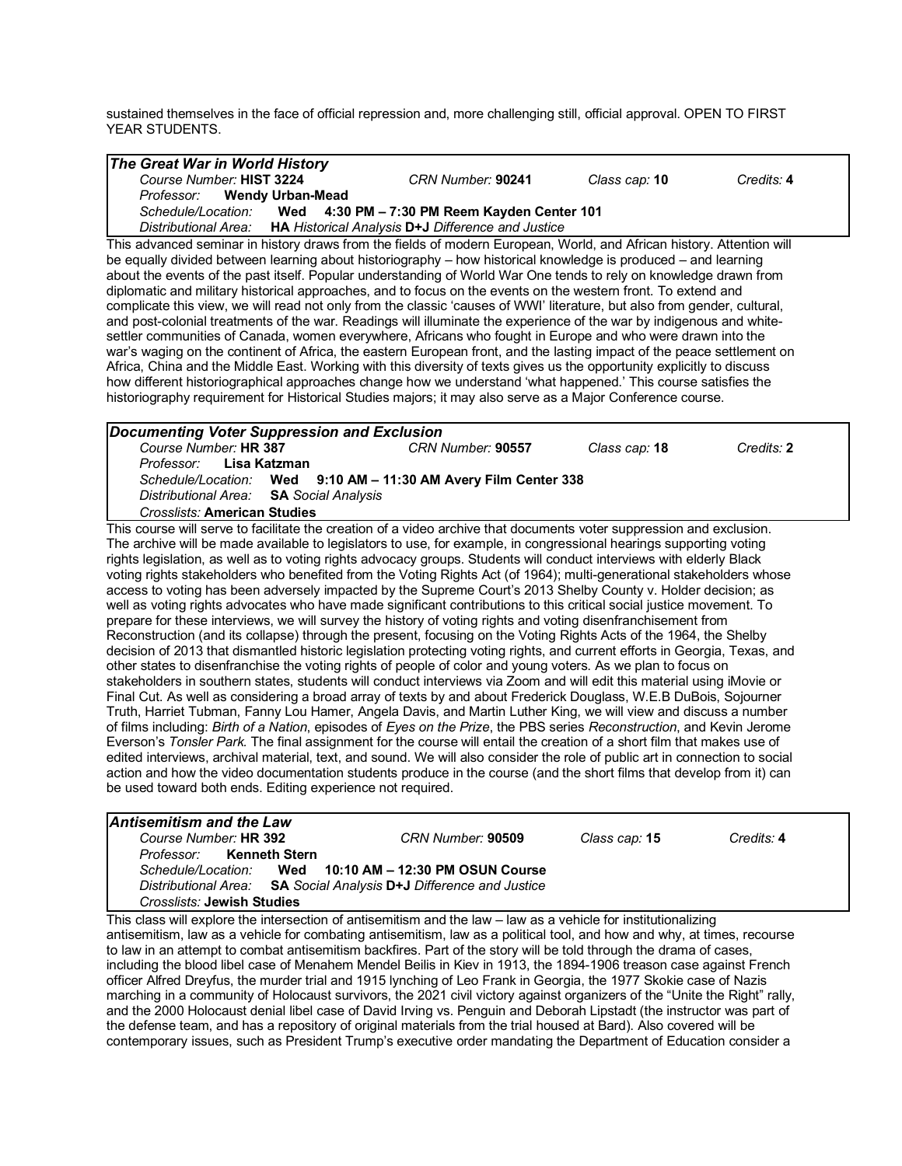sustained themselves in the face of official repression and, more challenging still, official approval. OPEN TO FIRST YEAR STUDENTS.

| The Great War in World History                                                                                                                                                                                                             |                                                   |               |            |
|--------------------------------------------------------------------------------------------------------------------------------------------------------------------------------------------------------------------------------------------|---------------------------------------------------|---------------|------------|
| Course Number: HIST 3224                                                                                                                                                                                                                   | CRN Number: 90241                                 | Class cap: 10 | Credits: 4 |
| <b>Wendy Urban-Mead</b><br>Professor:                                                                                                                                                                                                      |                                                   |               |            |
| Schedule/Location:<br>Wed                                                                                                                                                                                                                  | 4:30 PM - 7:30 PM Reem Kayden Center 101          |               |            |
| Distributional Area:                                                                                                                                                                                                                       | HA Historical Analysis D+J Difference and Justice |               |            |
| This advanced seminar in history draws from the fields of modern European, World, and African history. Attention will                                                                                                                      |                                                   |               |            |
| be equally divided between learning about historiography - how historical knowledge is produced - and learning                                                                                                                             |                                                   |               |            |
| about the events of the past itself. Popular understanding of World War One tends to rely on knowledge drawn from                                                                                                                          |                                                   |               |            |
| diplomatic and military historical approaches, and to focus on the events on the western front. To extend and<br>complicate this view, we will read not only from the classic 'causes of WWI' literature, but also from gender, cultural,  |                                                   |               |            |
| and post-colonial treatments of the war. Readings will illuminate the experience of the war by indigenous and white-                                                                                                                       |                                                   |               |            |
| settler communities of Canada, women everywhere, Africans who fought in Europe and who were drawn into the                                                                                                                                 |                                                   |               |            |
| war's waging on the continent of Africa, the eastern European front, and the lasting impact of the peace settlement on                                                                                                                     |                                                   |               |            |
| Africa, China and the Middle East. Working with this diversity of texts gives us the opportunity explicitly to discuss                                                                                                                     |                                                   |               |            |
| how different historiographical approaches change how we understand 'what happened.' This course satisfies the                                                                                                                             |                                                   |               |            |
| historiography requirement for Historical Studies majors; it may also serve as a Major Conference course.                                                                                                                                  |                                                   |               |            |
|                                                                                                                                                                                                                                            |                                                   |               |            |
| <b>Documenting Voter Suppression and Exclusion</b>                                                                                                                                                                                         |                                                   |               |            |
| Course Number: HR 387                                                                                                                                                                                                                      | CRN Number: 90557                                 | Class cap: 18 | Credits: 2 |
| Professor:<br>Lisa Katzman                                                                                                                                                                                                                 |                                                   |               |            |
| Schedule/Location:                                                                                                                                                                                                                         | Wed 9:10 AM - 11:30 AM Avery Film Center 338      |               |            |
| <b>Distributional Area:</b><br><b>SA</b> Social Analysis                                                                                                                                                                                   |                                                   |               |            |
| <b>Crosslists: American Studies</b>                                                                                                                                                                                                        |                                                   |               |            |
| This course will serve to facilitate the creation of a video archive that documents voter suppression and exclusion.<br>The archive will be made available to legislators to use, for example, in congressional hearings supporting voting |                                                   |               |            |
| rights legislation, as well as to voting rights advocacy groups. Students will conduct interviews with elderly Black                                                                                                                       |                                                   |               |            |
| voting rights stakeholders who benefited from the Voting Rights Act (of 1964); multi-generational stakeholders whose                                                                                                                       |                                                   |               |            |
| access to voting has been adversely impacted by the Supreme Court's 2013 Shelby County v. Holder decision; as                                                                                                                              |                                                   |               |            |
| well as voting rights advocates who have made significant contributions to this critical social justice movement. To                                                                                                                       |                                                   |               |            |
| prepare for these interviews, we will survey the history of voting rights and voting disenfranchisement from                                                                                                                               |                                                   |               |            |
| Reconstruction (and its collapse) through the present, focusing on the Voting Rights Acts of the 1964, the Shelby                                                                                                                          |                                                   |               |            |
| decision of 2013 that dismantled historic legislation protecting voting rights, and current efforts in Georgia, Texas, and                                                                                                                 |                                                   |               |            |
| other states to disenfranchise the voting rights of people of color and young voters. As we plan to focus on                                                                                                                               |                                                   |               |            |
| stakeholders in southern states, students will conduct interviews via Zoom and will edit this material using iMovie or                                                                                                                     |                                                   |               |            |
| Final Cut. As well as considering a broad array of texts by and about Frederick Douglass, W.E.B DuBois, Sojourner<br>Truth, Harriet Tubman, Fanny Lou Hamer, Angela Davis, and Martin Luther King, we will view and discuss a number       |                                                   |               |            |
| of films including: Birth of a Nation, episodes of Eyes on the Prize, the PBS series Reconstruction, and Kevin Jerome                                                                                                                      |                                                   |               |            |
| Everson's Tonsler Park. The final assignment for the course will entail the creation of a short film that makes use of                                                                                                                     |                                                   |               |            |
| edited interviews, archival material, text, and sound. We will also consider the role of public art in connection to social                                                                                                                |                                                   |               |            |
| action and how the video documentation students produce in the course (and the short films that develop from it) can                                                                                                                       |                                                   |               |            |
| be used toward both ends. Editing experience not required.                                                                                                                                                                                 |                                                   |               |            |
|                                                                                                                                                                                                                                            |                                                   |               |            |
| <b>Antisemitism and the Law</b>                                                                                                                                                                                                            |                                                   |               |            |

| Course Number: <b>HR 392</b> | CRN Number: 90509                                                  | Class cap: <b>15</b> | Credits: 4 |
|------------------------------|--------------------------------------------------------------------|----------------------|------------|
| Professor: Kenneth Stern     |                                                                    |                      |            |
| Schedule/Location:           | Wed $10:10$ AM $- 12:30$ PM OSUN Course                            |                      |            |
|                              | Distributional Area: SA Social Analysis D+J Difference and Justice |                      |            |
| Crosslists: Jewish Studies   |                                                                    |                      |            |

This class will explore the intersection of antisemitism and the law – law as a vehicle for institutionalizing antisemitism, law as a vehicle for combating antisemitism, law as a political tool, and how and why, at times, recourse to law in an attempt to combat antisemitism backfires. Part of the story will be told through the drama of cases, including the blood libel case of Menahem Mendel Beilis in Kiev in 1913, the 1894-1906 treason case against French officer Alfred Dreyfus, the murder trial and 1915 lynching of Leo Frank in Georgia, the 1977 Skokie case of Nazis marching in a community of Holocaust survivors, the 2021 civil victory against organizers of the "Unite the Right" rally, and the 2000 Holocaust denial libel case of David Irving vs. Penguin and Deborah Lipstadt (the instructor was part of the defense team, and has a repository of original materials from the trial housed at Bard). Also covered will be contemporary issues, such as President Trump's executive order mandating the Department of Education consider a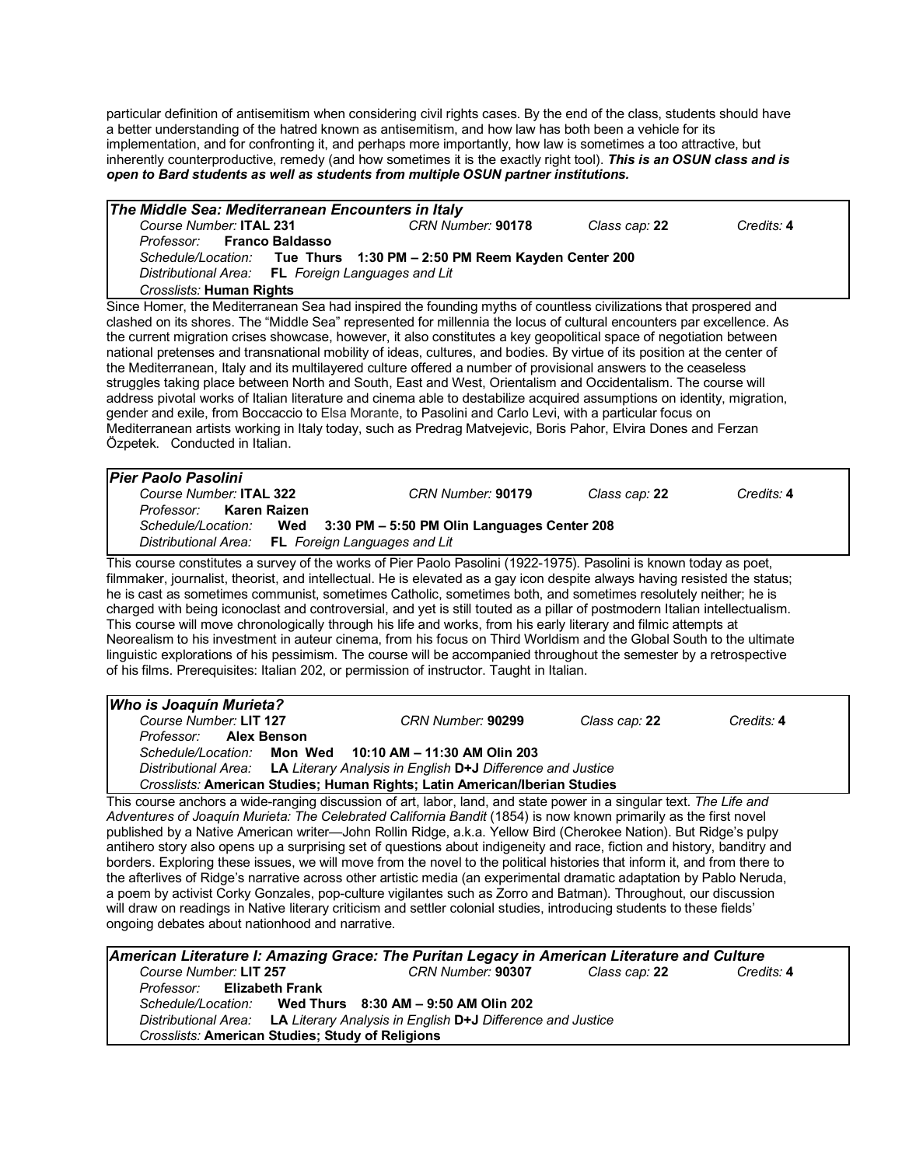particular definition of antisemitism when considering civil rights cases. By the end of the class, students should have a better understanding of the hatred known as antisemitism, and how law has both been a vehicle for its implementation, and for confronting it, and perhaps more importantly, how law is sometimes a too attractive, but inherently counterproductive, remedy (and how sometimes it is the exactly right tool). *This is an OSUN class and is open to Bard students as well as students from multiple OSUN partner institutions.*

| The Middle Sea: Mediterranean Encounters in Italy                                                                                                                                                                                               |                                                            |               |            |
|-------------------------------------------------------------------------------------------------------------------------------------------------------------------------------------------------------------------------------------------------|------------------------------------------------------------|---------------|------------|
| Course Number: ITAL 231                                                                                                                                                                                                                         | CRN Number: 90178                                          | Class cap: 22 | Credits: 4 |
| <b>Franco Baldasso</b><br>Professor:                                                                                                                                                                                                            |                                                            |               |            |
| Schedule/Location:                                                                                                                                                                                                                              | Tue Thurs 1:30 PM - 2:50 PM Reem Kayden Center 200         |               |            |
| FL Foreign Languages and Lit<br>Distributional Area:                                                                                                                                                                                            |                                                            |               |            |
| Crosslists: Human Rights                                                                                                                                                                                                                        |                                                            |               |            |
| Since Homer, the Mediterranean Sea had inspired the founding myths of countless civilizations that prospered and                                                                                                                                |                                                            |               |            |
| clashed on its shores. The "Middle Sea" represented for millennia the locus of cultural encounters par excellence. As                                                                                                                           |                                                            |               |            |
| the current migration crises showcase, however, it also constitutes a key geopolitical space of negotiation between<br>national pretenses and transnational mobility of ideas, cultures, and bodies. By virtue of its position at the center of |                                                            |               |            |
| the Mediterranean, Italy and its multilayered culture offered a number of provisional answers to the ceaseless                                                                                                                                  |                                                            |               |            |
| struggles taking place between North and South, East and West, Orientalism and Occidentalism. The course will                                                                                                                                   |                                                            |               |            |
| address pivotal works of Italian literature and cinema able to destabilize acquired assumptions on identity, migration,                                                                                                                         |                                                            |               |            |
| gender and exile, from Boccaccio to Elsa Morante, to Pasolini and Carlo Levi, with a particular focus on                                                                                                                                        |                                                            |               |            |
| Mediterranean artists working in Italy today, such as Predrag Matvejevic, Boris Pahor, Elvira Dones and Ferzan                                                                                                                                  |                                                            |               |            |
| Özpetek. Conducted in Italian.                                                                                                                                                                                                                  |                                                            |               |            |
|                                                                                                                                                                                                                                                 |                                                            |               |            |
| <b>Pier Paolo Pasolini</b>                                                                                                                                                                                                                      |                                                            |               |            |
| Course Number: ITAL 322                                                                                                                                                                                                                         | CRN Number: 90179                                          | Class cap: 22 | Credits: 4 |
| <b>Karen Raizen</b><br>Professor:                                                                                                                                                                                                               |                                                            |               |            |
| Schedule/Location:<br>Wed                                                                                                                                                                                                                       | 3:30 PM - 5:50 PM Olin Languages Center 208                |               |            |
| <b>Distributional Area:</b><br>FL Foreign Languages and Lit                                                                                                                                                                                     |                                                            |               |            |
| This course constitutes a survey of the works of Pier Paolo Pasolini (1922-1975). Pasolini is known today as poet,                                                                                                                              |                                                            |               |            |
| filmmaker, journalist, theorist, and intellectual. He is elevated as a gay icon despite always having resisted the status;                                                                                                                      |                                                            |               |            |
| he is cast as sometimes communist, sometimes Catholic, sometimes both, and sometimes resolutely neither; he is                                                                                                                                  |                                                            |               |            |
| charged with being iconoclast and controversial, and yet is still touted as a pillar of postmodern Italian intellectualism.                                                                                                                     |                                                            |               |            |
| This course will move chronologically through his life and works, from his early literary and filmic attempts at                                                                                                                                |                                                            |               |            |
| Neorealism to his investment in auteur cinema, from his focus on Third Worldism and the Global South to the ultimate                                                                                                                            |                                                            |               |            |
| linguistic explorations of his pessimism. The course will be accompanied throughout the semester by a retrospective                                                                                                                             |                                                            |               |            |
| of his films. Prerequisites: Italian 202, or permission of instructor. Taught in Italian.                                                                                                                                                       |                                                            |               |            |
| Who is Joaquín Murieta?                                                                                                                                                                                                                         |                                                            |               |            |
| Course Number: LIT 127                                                                                                                                                                                                                          | CRN Number: 90299                                          | Class cap: 22 | Credits: 4 |
| <b>Alex Benson</b><br>Professor:                                                                                                                                                                                                                |                                                            |               |            |
| Schedule/Location:<br><b>Mon Wed</b>                                                                                                                                                                                                            | 10:10 AM - 11:30 AM Olin 203                               |               |            |
| Distributional Area:                                                                                                                                                                                                                            | LA Literary Analysis in English D+J Difference and Justice |               |            |
| Crosslists: American Studies; Human Rights; Latin American/Iberian Studies                                                                                                                                                                      |                                                            |               |            |
| This course anchors a wide-ranging discussion of art, labor, land, and state power in a singular text. The Life and                                                                                                                             |                                                            |               |            |
| Adventures of Joaquín Murieta: The Celebrated California Bandit (1854) is now known primarily as the first novel                                                                                                                                |                                                            |               |            |
| published by a Native American writer—John Rollin Ridge, a.k.a. Yellow Bird (Cherokee Nation). But Ridge's pulpy                                                                                                                                |                                                            |               |            |
| antihero story also opens up a surprising set of questions about indigeneity and race, fiction and history, banditry and                                                                                                                        |                                                            |               |            |
| borders. Exploring these issues, we will move from the novel to the political histories that inform it, and from there to                                                                                                                       |                                                            |               |            |
| the afterlives of Ridge's narrative across other artistic media (an experimental dramatic adaptation by Pablo Neruda,                                                                                                                           |                                                            |               |            |
| a poem by activist Corky Gonzales, pop-culture vigilantes such as Zorro and Batman). Throughout, our discussion                                                                                                                                 |                                                            |               |            |
| will draw on readings in Native literary criticism and settler colonial studies, introducing students to these fields'                                                                                                                          |                                                            |               |            |
| ongoing debates about nationhood and narrative.                                                                                                                                                                                                 |                                                            |               |            |
|                                                                                                                                                                                                                                                 |                                                            |               |            |
| American Literature I: Amazing Grace: The Puritan Legacy in American Literature and Culture                                                                                                                                                     |                                                            |               |            |
| Course Number: LIT 257                                                                                                                                                                                                                          | CRN Number: 90307                                          | Class cap: 22 | Credits: 4 |
| Professor:<br><b>Elizabeth Frank</b><br>Schedule/Location:                                                                                                                                                                                      | Wed Thurs 8:30 AM - 9:50 AM Olin 202                       |               |            |
| Distributional Area:                                                                                                                                                                                                                            |                                                            |               |            |
|                                                                                                                                                                                                                                                 | LA Literary Analysis in English D+J Difference and Justice |               |            |

*Crosslists:* **American Studies; Study of Religions**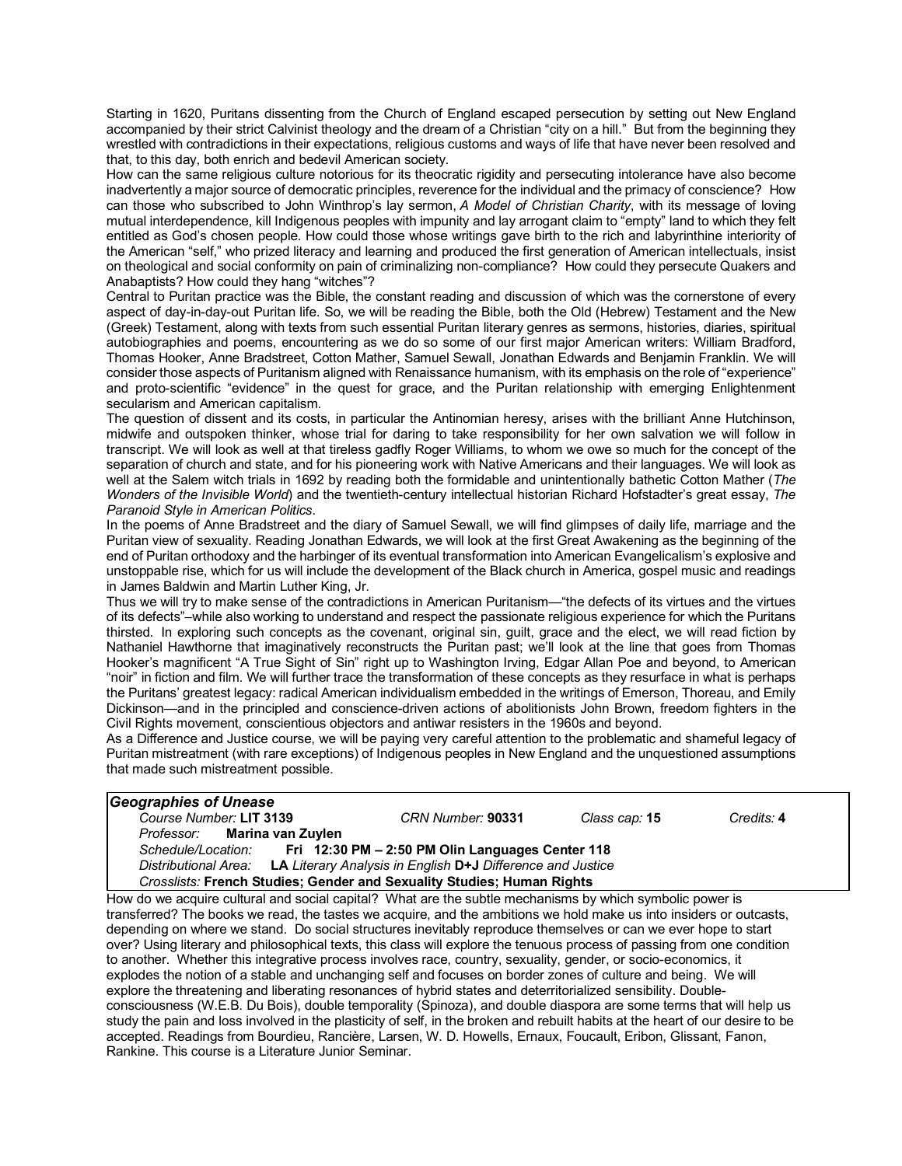Starting in 1620, Puritans dissenting from the Church of England escaped persecution by setting out New England accompanied by their strict Calvinist theology and the dream of a Christian "city on a hill." But from the beginning they wrestled with contradictions in their expectations, religious customs and ways of life that have never been resolved and that, to this day, both enrich and bedevil American society.

How can the same religious culture notorious for its theocratic rigidity and persecuting intolerance have also become inadvertently a major source of democratic principles, reverence for the individual and the primacy of conscience? How can those who subscribed to John Winthrop's lay sermon, *A Model of Christian Charity*, with its message of loving mutual interdependence, kill Indigenous peoples with impunity and lay arrogant claim to "empty" land to which they felt entitled as God's chosen people. How could those whose writings gave birth to the rich and labyrinthine interiority of the American "self," who prized literacy and learning and produced the first generation of American intellectuals, insist on theological and social conformity on pain of criminalizing non-compliance? How could they persecute Quakers and Anabaptists? How could they hang "witches"?

Central to Puritan practice was the Bible, the constant reading and discussion of which was the cornerstone of every aspect of day-in-day-out Puritan life. So, we will be reading the Bible, both the Old (Hebrew) Testament and the New (Greek) Testament, along with texts from such essential Puritan literary genres as sermons, histories, diaries, spiritual autobiographies and poems, encountering as we do so some of our first major American writers: William Bradford, Thomas Hooker, Anne Bradstreet, Cotton Mather, Samuel Sewall, Jonathan Edwards and Benjamin Franklin. We will consider those aspects of Puritanism aligned with Renaissance humanism, with its emphasis on the role of "experience" and proto-scientific "evidence" in the quest for grace, and the Puritan relationship with emerging Enlightenment secularism and American capitalism.

The question of dissent and its costs, in particular the Antinomian heresy, arises with the brilliant Anne Hutchinson, midwife and outspoken thinker, whose trial for daring to take responsibility for her own salvation we will follow in transcript. We will look as well at that tireless gadfly Roger Williams, to whom we owe so much for the concept of the separation of church and state, and for his pioneering work with Native Americans and their languages. We will look as well at the Salem witch trials in 1692 by reading both the formidable and unintentionally bathetic Cotton Mather (*The Wonders of the Invisible World*) and the twentieth-century intellectual historian Richard Hofstadter's great essay, *The Paranoid Style in American Politics*.

In the poems of Anne Bradstreet and the diary of Samuel Sewall, we will find glimpses of daily life, marriage and the Puritan view of sexuality. Reading Jonathan Edwards, we will look at the first Great Awakening as the beginning of the end of Puritan orthodoxy and the harbinger of its eventual transformation into American Evangelicalism's explosive and unstoppable rise, which for us will include the development of the Black church in America, gospel music and readings in James Baldwin and Martin Luther King, Jr.

Thus we will try to make sense of the contradictions in American Puritanism—"the defects of its virtues and the virtues of its defects"–while also working to understand and respect the passionate religious experience for which the Puritans thirsted. In exploring such concepts as the covenant, original sin, guilt, grace and the elect, we will read fiction by Nathaniel Hawthorne that imaginatively reconstructs the Puritan past; we'll look at the line that goes from Thomas Hooker's magnificent "A True Sight of Sin" right up to Washington Irving, Edgar Allan Poe and beyond, to American "noir" in fiction and film. We will further trace the transformation of these concepts as they resurface in what is perhaps the Puritans' greatest legacy: radical American individualism embedded in the writings of Emerson, Thoreau, and Emily Dickinson—and in the principled and conscience-driven actions of abolitionists John Brown, freedom fighters in the Civil Rights movement, conscientious objectors and antiwar resisters in the 1960s and beyond.

As a Difference and Justice course, we will be paying very careful attention to the problematic and shameful legacy of Puritan mistreatment (with rare exceptions) of Indigenous peoples in New England and the unquestioned assumptions that made such mistreatment possible.

| <b>Geographies of Unease</b>                                                       |                   |                      |            |  |  |
|------------------------------------------------------------------------------------|-------------------|----------------------|------------|--|--|
| Course Number: LIT 3139                                                            | CRN Number: 90331 | Class cap: <b>15</b> | Credits: 4 |  |  |
| Professor: Marina van Zuylen                                                       |                   |                      |            |  |  |
| Schedule/Location: Fri 12:30 PM - 2:50 PM Olin Languages Center 118                |                   |                      |            |  |  |
| LA Literary Analysis in English D+J Difference and Justice<br>Distributional Area: |                   |                      |            |  |  |
| <b>Crosslists: French Studies: Gender and Sexuality Studies: Human Rights</b>      |                   |                      |            |  |  |

How do we acquire cultural and social capital? What are the subtle mechanisms by which symbolic power is transferred? The books we read, the tastes we acquire, and the ambitions we hold make us into insiders or outcasts, depending on where we stand. Do social structures inevitably reproduce themselves or can we ever hope to start over? Using literary and philosophical texts, this class will explore the tenuous process of passing from one condition to another. Whether this integrative process involves race, country, sexuality, gender, or socio-economics, it explodes the notion of a stable and unchanging self and focuses on border zones of culture and being. We will explore the threatening and liberating resonances of hybrid states and deterritorialized sensibility. Doubleconsciousness (W.E.B. Du Bois), double temporality (Spinoza), and double diaspora are some terms that will help us study the pain and loss involved in the plasticity of self, in the broken and rebuilt habits at the heart of our desire to be accepted. Readings from Bourdieu, Rancière, Larsen, W. D. Howells, Ernaux, Foucault, Eribon, Glissant, Fanon, Rankine. This course is a Literature Junior Seminar.